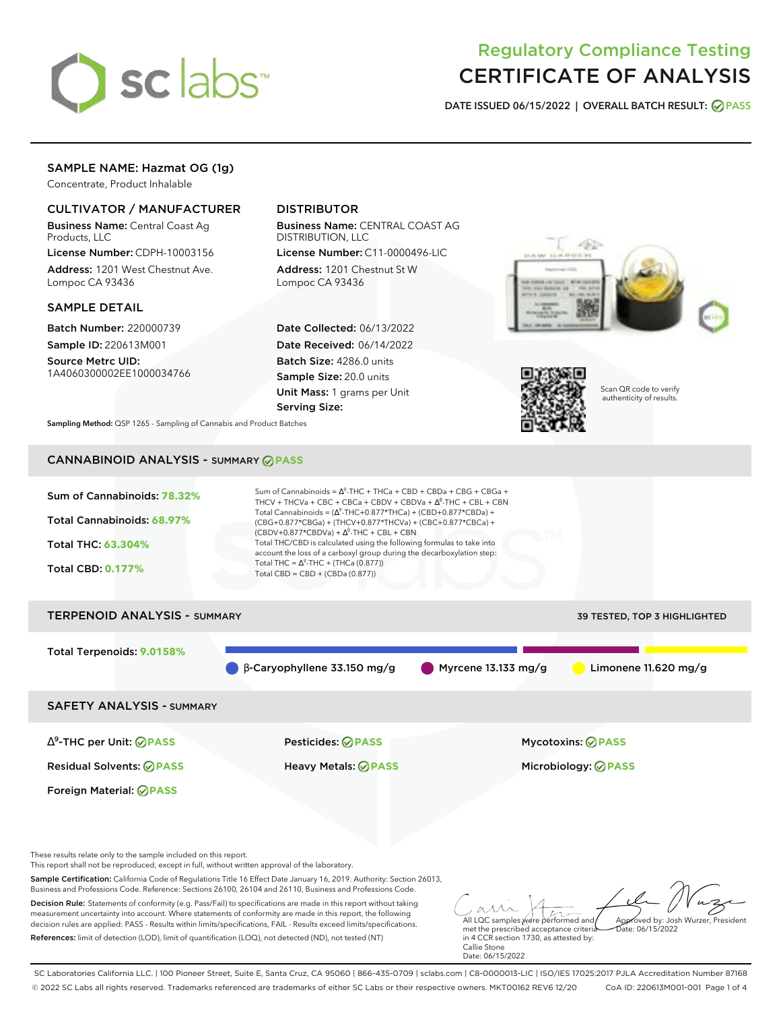

# Regulatory Compliance Testing CERTIFICATE OF ANALYSIS

**DATE ISSUED 06/15/2022 | OVERALL BATCH RESULT: PASS**

# SAMPLE NAME: Hazmat OG (1g)

Concentrate, Product Inhalable

### CULTIVATOR / MANUFACTURER

Business Name: Central Coast Ag Products, LLC

License Number: CDPH-10003156 Address: 1201 West Chestnut Ave. Lompoc CA 93436

### SAMPLE DETAIL

Batch Number: 220000739 Sample ID: 220613M001

Source Metrc UID: 1A4060300002EE1000034766

## DISTRIBUTOR

Business Name: CENTRAL COAST AG DISTRIBUTION, LLC License Number: C11-0000496-LIC

Address: 1201 Chestnut St W Lompoc CA 93436

Date Collected: 06/13/2022 Date Received: 06/14/2022 Batch Size: 4286.0 units Sample Size: 20.0 units Unit Mass: 1 grams per Unit Serving Size:





Scan QR code to verify authenticity of results.

**Sampling Method:** QSP 1265 - Sampling of Cannabis and Product Batches

# CANNABINOID ANALYSIS - SUMMARY **PASS**



Decision Rule: Statements of conformity (e.g. Pass/Fail) to specifications are made in this report without taking measurement uncertainty into account. Where statements of conformity are made in this report, the following decision rules are applied: PASS - Results within limits/specifications, FAIL - Results exceed limits/specifications. References: limit of detection (LOD), limit of quantification (LOQ), not detected (ND), not tested (NT)

All LQC samples were performed and met the prescribed acceptance criteria in 4 CCR section 1730, as attested by: Callie Stone Date: 06/15/2022 Approved by: Josh Wurzer, President  $hat: 06/15/2022$ 

SC Laboratories California LLC. | 100 Pioneer Street, Suite E, Santa Cruz, CA 95060 | 866-435-0709 | sclabs.com | C8-0000013-LIC | ISO/IES 17025:2017 PJLA Accreditation Number 87168 © 2022 SC Labs all rights reserved. Trademarks referenced are trademarks of either SC Labs or their respective owners. MKT00162 REV6 12/20 CoA ID: 220613M001-001 Page 1 of 4